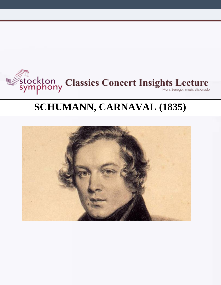

# **SCHUMANN, CARNAVAL (1835)**

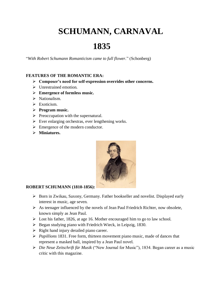## **SCHUMANN, CARNAVAL**

### **1835**

"*With Robert Schumann Romanticism came to full flower.*" (Schonberg)

#### **FEATURES OF THE ROMANTIC ERA:**

- ➢ **Composer's need for self-expression overrides other concerns.**
- ➢ Unrestrained emotion.
- ➢ **Emergence of formless music.**
- ➢ Nationalism.
- ➢ Exoticism.
- ➢ **Program music.**
- $\triangleright$  Preoccupation with the supernatural.
- $\triangleright$  Ever enlarging orchestras, ever lengthening works.
- ➢ Emergence of the modern conductor.
- ➢ **Miniatures.**



#### **ROBERT SCHUMANN (1810-1856):**

- ➢ Born in Zwikau, Saxony, Germany. Father bookseller and novelist. Displayed early interest in music, age seven.
- ➢ As teenager influenced by the novels of Jean Paul Friedrich Richter, now obsolete, known simply as Jean Paul.
- ➢ Lost his father, 1826, at age 16. Mother encouraged him to go to law school.
- ➢ Began studying piano with Friedrich Wieck, in Leipzig, 1830.
- $\triangleright$  Right hand injury derailed piano career.
- ➢ *Papillions* 1831. Free form, thirteen movement piano music, made of dances that represent a masked ball, inspired by a Jean Paul novel.
- ➢ *Die Neue Zeitschrift für Musik* ("New Journal for Music"), 1834. Began career as a music critic with this magazine.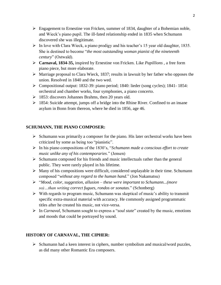- $\triangleright$  Engagement to Ernestine von Fricken, summer of 1834, daughter of a Bohemian noble, and Wieck's piano pupil. The ill-fated relationship ended in 1835 when Schumann discovered she was illegitimate.
- ➢ In love with Clara Wieck, a piano prodigy and his teacher's 15 year old daughter, 1835. She is destined to become "*the most outstanding woman pianist of the nineteenth century*" (Ostwald).
- ➢ **Carnaval, 1834-35,** inspired by Ernestine von Fricken. Like *Papillions* , a free form piano piece, but more elaborate.
- $\triangleright$  Marriage proposal to Clara Wieck, 1837; results in lawsuit by her father who opposes the union. Resolved in 1840 and the two wed.
- ➢ Compositional output: 1832-39: piano period; 1840: lieder (song cycles); 1841- 1854: orchestral and chamber works, four symphonies, a piano concerto.
- ➢ 1853: discovers Johannes Brahms, then 20 years old.
- ➢ 1854: Suicide attempt, jumps off a bridge into the Rhine River. Confined to an insane asylum in Bonn from thereon, where he died in 1856, age 46.

#### **SCHUMANN, THE PIANO COMPOSER:**

- ➢ Schumann was primarily a composer for the piano. His later orchestral works have been criticized by some as being too "pianistic".
- ➢ In his piano compositions of the 1830's, "*Schumann made a conscious effort to create music unlike any of his contemporaries*." (Jensen)
- ➢ Schumann composed for his friends and music intellectuals rather than the general public. They were rarely played in his lifetime.
- $\triangleright$  Many of his compositions were difficult, considered unplayable in their time. Schumann composed "*without any regard to the human hand.*" (Jon Nakamatsu)
- ➢ "*Mood, color, suggestion, allusion – these were important to Schumann...(more so)…than writing correct fugues, rondos or sonatas.*" (Schonberg)
- ➢ With regards to program music, Schumann was skeptical of music's ability to transmit specific extra-musical material with accuracy. He commonly assigned programmatic titles after he created his music, not vice-versa.
- ➢ In *Carnaval*, Schumann sought to express a "*soul state*" created by the music, emotions and moods that could be portrayed by sound.

#### **HISTORY OF CARNAVAL, THE CIPHER:**

 $\triangleright$  Schumann had a keen interest in ciphers, number symbolism and musical/word puzzles, as did many other Romantic Era composers.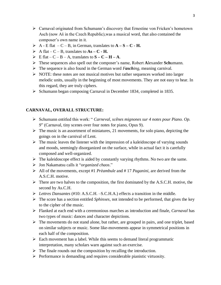- $\triangleright$  Carnaval originated from Schumann's discovery that Ernestine von Fricken's hometown Asch (now Aš in the Czech Republic),was a musical word, that also contained the composer's own name in it.
- $\triangleright$  A E flat  $-C B$ , in German, translates to  $A S C H$ .
- $\triangleright$  A flat C B, translates to  $As C H$ .
- $\triangleright$  E flat C B A, translates to  $S C H A$ .
- ➢ These sequences also spell out the composer's name, Robert **A**lexander **Sch**umann.
- ➢ The sequence is also found in the German word *Fasching*, meaning carnival.
- $\triangleright$  NOTE: these notes are not musical motives but rather sequences worked into larger melodic units, usually in the beginning of most movements. They are not easy to hear. In this regard, they are truly ciphers.
- ➢ Schumann began composing Carnaval in December 1834, completed in 1835.

#### **CARNAVAL, OVERALL STRUCTURE:**

- ➢ Schumann entitled this work: " *Carneval, scênes mignones sur 4 notes pour Piano. Op. 9*" (Carnaval, tiny scenes over four notes for piano, Opus 9).
- $\triangleright$  The music is an assortment of miniatures, 21 movements, for solo piano, depicting the goings on in the carnival of Lent.
- $\triangleright$  The music leaves the listener with the impression of a kaleidoscope of varying sounds and moods, seemingly disorganized on the surface, while in actual fact it is carefully composed and well-organized.
- $\triangleright$  The kaleidoscope effect is aided by constantly varying rhythms. No two are the same.
- ➢ Jon Nakamatsu calls it "*organized chaos*."
- ➢ All of the movements, except #1 *Prèambule* and # 17 *Paganini*, are derived from the A.S.C.H. motive.
- $\triangleright$  There are two halves to the composition, the first dominated by the A.S.C.H. motive, the second by As.C.H.
- ➢ *Lettres Dansantes* (#10: A.S.C.H. –S.C.H.A.) effects a transition in the middle.
- ➢ The score has a section entitled *Sphinxes*, not intended to be performed, that gives the key to the cipher of the music.
- ➢ Flanked at each end with a ceremonious marches as introduction and finale, *Carnaval* has two types of music: dances and character depictions.
- ➢ The movements do not stand alone, but rather, are grouped in pairs, and one triplet, based on similar subjects or music. Some like-movements appear in symmetrical positions in each half of the composition.
- $\triangleright$  Each movement has a label. While this seems to demand literal programmatic interpretation, many scholars warn against such an exercise.
- $\triangleright$  The finale rounds out the composition by recalling the introduction.
- ➢ Performance is demanding and requires considerable pianistic virtuosity.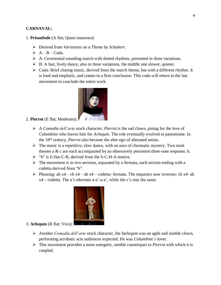#### **CARNAVAL:**

- 1. **Prèambule** (A flat; Quasi maestoso)
	- ➢ Derived from *Variations on a Theme by Schubert*.
	- $\triangleright$  A B Coda.
	- $\triangleright$  A: Ceremonial sounding march with dotted rhythms, presented in three variations.
	- $\triangleright$  B: A fast, lively dance, also in three variations, the middle one slower, quieter.
	- $\triangleright$  Coda: Brief closing music, derived from the march theme, but with a different rhythm. It is loud and emphatic, and comes to a firm conclusion. This coda will return in the last movement to conclude the entire work.



#### 2. **Pierrot** (E flat; Moderato):

- ➢ A *Comedia dell'arte* stock character, *Pierrot* is the sad clown, pining for the love of *Colombine* who leaves him for A*rlequin*. The role eventually evolved to pantomime. In the 19th century, *Pierrot* also became the alter ego of alienated artists.
- ➢ The music is a repetitive, slow dance, with an aura of chromatic mystery. Two stark themes a  $\& c$  are each accompanied by an obsessively persistent three-note response, b.
- ➢ "b" is E-flat-C-B, derived from the S-C-H-A motive.
- $\triangleright$  The movement is in two sections, separated by a fermata, each section ending with a codetta derived from "b".
- $\triangleright$  Phrasing: ab x4 cb x4 ab x4 codetta- fermata. The sequence now reverses: cb x4- ab x4 – codetta. The a's alternate a-a'-a-a', while the c's stay the same.



#### 3. **Arlequin** (B flat; Vivo):

- ➢ Another *Comedia dell'arte* stock character, the harlequin was an agile and nimble clown, performing acrobatic acts audiences expected. He was *Columbine's* lover.
- ➢ This movement provides a more energetic, nimble counterpart to *Pierrot* with which it is coupled.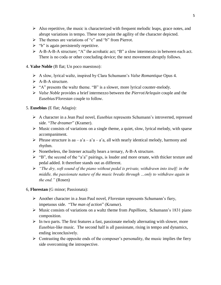- $\triangleright$  Also repetitive, the music is characterized with frequent melodic leaps, grace notes, and abrupt variations in tempo. These tone paint the agility of the character depicted.
- $\triangleright$  The themes are variations of "c" and "b" from Pierrot.
- $\triangleright$  "b" is again persistently repetitive.
- ➢ A-B-A-B-A structure; "A" the acrobatic act; "B" a slow intermezzo in between each act. There is no coda or other concluding device; the next movement abruptly follows.
- 4. **Valse Noble** (B flat; Un poco maestoso):
	- ➢ A slow, lyrical waltz, inspired by Clara Schumann's *Valse Romantique* Opus 4.
	- ➢ A-B-A structure.
	- ➢ "A" presents the waltz theme. "B" is a slower, more lyrical counter-melody.
	- ➢ *Valse Noble* provides a brief intermezzo between the *Pierrot*/*Arlequin* couple and the *Eusebius*/*Florestan* couple to follow.
- 5. **Eusebius** (E flat; Adagio):
	- ➢ A character in a Jean Paul novel, *Eusebius* represents Schumann's introverted, repressed side. "*The dreamer*" (Kramer).
	- ➢ Music consists of variations on a single theme, a quiet, slow, lyrical melody, with sparse accompaniment.
	- $\triangleright$  Phrase structure is aa a'a a'a a'a, all with nearly identical melody, harmony and rhythm.
	- ➢ Nonetheless, the listener actually hears a ternary, A-B-A structure.
	- $\triangleright$  "B", the second of the "a'a" pairings, is louder and more ornate, with thicker texture and pedal added. It therefore stands out as different.
	- ➢ *"The dry, soft sound of the piano without pedal is private, withdrawn into itself; in the middle, the passionate nature of the music breaks through …only to withdraw again in the end."* (Rosen)
- 6, **Florestan** (G minor; Passionata):
	- ➢ Another character in a Jean Paul novel, *Florestan* represents Schumann's fiery, impetuous side. "T*he man of action*" (Kramer).
	- ➢ Music consists of variations on a waltz theme from *Papillions*, Schumann's 1831 piano composition.
	- ➢ In two parts. The first features a fast, passionate melody alternating with slower, more *Eusebius*-like music. The second half is all passionate, rising in tempo and dynamics, ending inconclusively.
	- $\triangleright$  Contrasting the opposite ends of the composer's personality, the music implies the fiery side overcoming the introspective.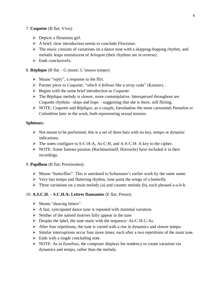#### 7. **Coquette** (B flat; Vivo):

- $\triangleright$  Depicts a flirtatious girl.
- ➢ A brief, slow introduction seems to conclude *Florestan*.
- $\triangleright$  The music consists of variations on a dance tune with a skipping-hopping rhythm, and melodic leaps reminiscent of *Arlequin* (their rhythms are in reverse).
- $\triangleright$  Ends conclusively.

8. **Rèplique** (B flat – G minor; L'istesso tempo):

- ➢ Means "reply", a response to the flirt.
- ➢ Partner piece to *Coquette*, "*which it follows like a stray coda*" (Kramer). .
- ➢ Begins with the same brief introduction as *Coquette*.
- ➢ The *Rèplique* melody is slower, more contemplative. Interspersed throughout are *Coquette* rhythms –skips and hops – suggesting that she is there, still flirting.
- ➢ NOTE: *Coquette* and *Rèplique*, as a couple, foreshadow the more cartoonish *Pantalon et Colombine* later in the work, both representing sexual tension.

#### **Sphinxes:**

- $\triangleright$  Not meant to be performed, this is a set of three bars with no key, tempo or dynamic indications.
- ➢ The notes configure to S-C-H-A, As-C-H, and A-S-C-H. A key to the cipher.
- ➢ NOTE: Some famous pianists (Rachmaninoff, Horowitz) have included it in their recordings.

#### 9. **Papillons** (B flat; Prestissimo):

- ➢ Means "butterflies". This is unrelated to Schumann's earlier work by the same name.
- $\triangleright$  Very fast tempo and fluttering rhythm, tone paint the wings of a butterfly.
- $\triangleright$  Three variations on a main melody (a) and counter melody (b), each phrased a-a-b-b.

#### 10. **A.S.C.H. – S.C.H.A: Lettres Dansantes** (E flat; Presto):

- ➢ Means "dancing letters".
- $\triangleright$  A fast, syncopated dance tune is repeated with minimal variation.
- $\triangleright$  Neither of the named motives fully appear in the tune
- ➢ Despite the label, the tune starts with the sequence: As-C-H-C-As.
- $\triangleright$  After four repetitions, the tune is varied with a rise in dynamics and slower tempo.
- $\triangleright$  Similar interruptions occur four more times, each after a two repetitions of the main tune.
- $\triangleright$  Ends with a single concluding note.
- ➢ NOTE: As in *Eusebius*, the composer displays his tendency to create variation via dynamics and tempo, rather than the melody.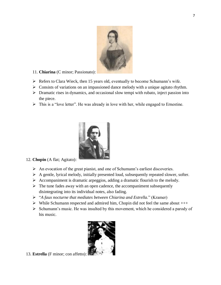

- 11. **Chiarina** (C minor; Passionato):
- ➢ Refers to Clara Wieck, then 15 years old, eventually to become Schumann's wife.
- ➢ Consists of variations on an impassioned dance melody with a unique agitato rhythm.
- ➢ Dramatic rises in dynamics, and occasional slow tempi with rubato, inject passion into the piece.
- ➢ This is a "love letter". He was already in love with her, while engaged to Ernestine.



- 12. **Chopin** (A flat; Agitato):
	- ➢ An evocation of the great pianist, and one of Schumann's earliest discoveries.
	- ➢ A gentle, lyrical melody, initially presented loud, subsequently repeated slower, softer.
	- ➢ Accompaniment is dramatic arpeggios, adding a dramatic flourish to the melody.
	- $\triangleright$  The tune fades away with an open cadence, the accompaniment subsequently disintegrating into its individual notes, also fading.
	- ➢ "*A faux nocturne that mediates between Chiarina and Estrella.*" (Kramer)
	- ➢ While Schumann respected and admired him, Chopin did not feel the same about +++
	- ➢ Schumann's music. He was insulted by this movement, which he considered a parody of his music.



13. **Estrella** (F minor; con affetto):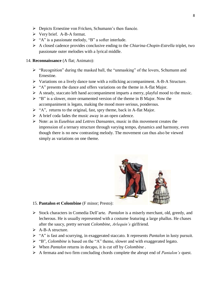- ➢ Depicts Ernestine von Fricken, Schumann's then fiancée.
- ➢ Very brief. A-B-A format.
- ➢ "A" is a passionate melody, "B" a softer interlude.
- ➢ A closed cadence provides conclusive ending to the *Chiarina*-*Chopin*-*Estrella* triplet, two passionate outer melodies with a lyrical middle.

#### 14. **Reconnaissance** (A flat; Animato):

- ➢ "Recognition" during the masked ball, the "unmasking" of the lovers, Schumann and Ernestine.
- ➢ Variations on a lively dance tune with a rollicking accompaniment. A-B-A Structure.
- ➢ "A" presents the dance and offers variations on the theme in A-flat Major.
- ➢ A steady, staccato left hand accompaniment imparts a merry, playful mood to the music.
- ➢ "B" is a slower, more ornamented version of the theme in B Major. Now the accompaniment is legato, making the mood more serious, ponderous.
- $\triangleright$  "A", returns to the original, fast, spry theme, back in A-flat Major.
- $\triangleright$  A brief coda fades the music away in an open cadence.
- ➢ Note: as in *Eusebius* and *Lettres Dansantes,* music in this movement creates the impression of a ternary structure through varying tempo, dynamics and harmony, even though there is no new contrasting melody. The movement can thus also be viewed simply as variations on one theme.



#### 15. **Pantalon et Colombine** (F minor; Presto):

- ➢ Stock characters in Comedia Dell'arte. *Pantalon* is a miserly merchant, old, greedy, and lecherous. He is usually represented with a costume featuring a large phallus. He chases after the saucy, pretty servant *Colombine*, *Arlequin's* girlfriend.
- ➢ A-B-A structure.
- ➢ "A" is fast and scurrying, in exaggerated staccato. It represents *Pantalon* in lusty pursuit.
- ➢ "B"*, Colombine* is based on the "A" theme, slower and with exaggerated legato.
- ➢ When *Pantalon* returns in decapo, it is cut off by *Colombine* .
- ➢ A fermata and two firm concluding chords complete the abrupt end of *Pantalon's* quest.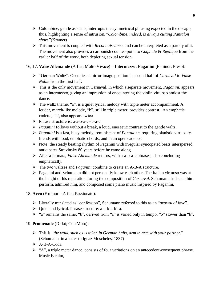- $\triangleright$  Colombine, gentle as she is, interrupts the symmetrical phrasing expected in the decapo, thus, highlighting a sense of intrusion. "*Colombine, indeed, is always cutting Pantalon short.*"(Kramer)
- ➢ This movement is coupled with *Reconnaissance,* and can be interpreted as a parody of it. The movement also provides a cartoonish counter-point to *Coquette* & *Replique* from the earlier half of the work, both depicting sexual tension.
- 16, 17. **Valse Allemande** (A flat; Molto Vivace) **Intermezzo: Paganini** (F minor; Preso):
	- ➢ "German Waltz". Occupies a mirror image position in second half of *Carnaval* to *Valse Noble* from the first half.
	- ➢ This is the only movement in Carnaval, in which a separate movement, *Paganini*, appears as an intermezzo, giving an impression of encountering the violin virtuoso amidst the dance.
	- $\triangleright$  The waltz theme, "a", is a quiet lyrical melody with triple meter accompaniment. A louder, march-like melody, "b", still in triple meter, provides contrast. An emphatic codetta, "c', also appears twice.
	- ➢ Phrase structure is: a-a-b-a-c--b-a-c.
	- ➢ *Paganini* follows without a break, a loud, energetic contrast to the gentle waltz.
	- ➢ *Paganini* is a fast, busy melody, reminiscent of *Pantalone*, requiring pianistic virtuosity. It ends with loud, emphatic chords, and in an open cadence.
	- ➢ Note: the steady beating rhythm of Paganini with irregular syncopated beats interspersed, anticipates Stravinsky 80 years before he came along.
	- ➢ After a fermata, *Valse Allemande* returns, with a-a-b-a-c phrases, also concluding emphatically.
	- ➢ The two waltzes and *Paganini* combine to create an A-B-A structure.
	- ➢ Paganini and Schumann did not personally know each other. The Italian virtuoso was at the height of his reputation during the composition of *Carnaval*. Schumann had seen him perform, admired him, and composed some piano music inspired by Paganini.
- 18. **Aveu** (F minor A flat; Passionato):
	- ➢ Literally translated as "confession", Schumann referred to this as an "*avowal of love*".
	- ➢ Quiet and lyrical. Phrase structure: a-a-b-a-b'-a.
	- $\triangleright$  "a" remains the same; "b", derived from "a" is varied only in tempo, "b" slower than "b".

#### 19. **Promenade** (D flat; Con Moto):

- ➢ This is "*the walk, such as is taken in German balls, arm in arm with your partner.*" (Schumann, in a letter to Ignaz Moscheles, 1837)
- ➢ A-B-A-Coda.
- ➢ "A", a triple meter dance, consists of four variations on an antecedent-consequent phrase. Music is calm,